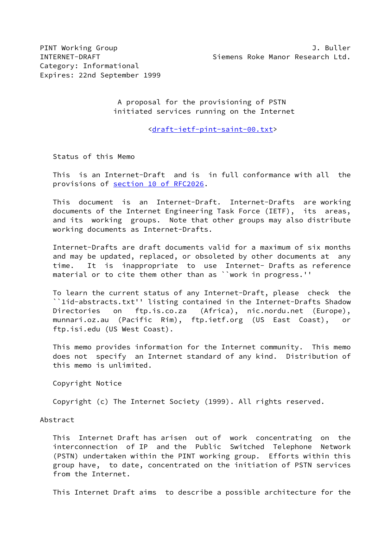A proposal for the provisioning of PSTN initiated services running on the Internet

<[draft-ietf-pint-saint-00.txt>](https://datatracker.ietf.org/doc/pdf/draft-ietf-pint-saint-00.txt)

Status of this Memo

 This is an Internet-Draft and is in full conformance with all the provisions of section [10 of RFC2026.](https://datatracker.ietf.org/doc/pdf/rfc2026#section-10)

 This document is an Internet-Draft. Internet-Drafts are working documents of the Internet Engineering Task Force (IETF), its areas, and its working groups. Note that other groups may also distribute working documents as Internet-Drafts.

 Internet-Drafts are draft documents valid for a maximum of six months and may be updated, replaced, or obsoleted by other documents at any time. It is inappropriate to use Internet- Drafts as reference material or to cite them other than as ``work in progress.''

 To learn the current status of any Internet-Draft, please check the ``1id-abstracts.txt'' listing contained in the Internet-Drafts Shadow Directories on ftp.is.co.za (Africa), nic.nordu.net (Europe), munnari.oz.au (Pacific Rim), ftp.ietf.org (US East Coast), or ftp.isi.edu (US West Coast).

 This memo provides information for the Internet community. This memo does not specify an Internet standard of any kind. Distribution of this memo is unlimited.

Copyright Notice

Copyright (c) The Internet Society (1999). All rights reserved.

Abstract

 This Internet Draft has arisen out of work concentrating on the interconnection of IP and the Public Switched Telephone Network (PSTN) undertaken within the PINT working group. Efforts within this group have, to date, concentrated on the initiation of PSTN services from the Internet.

This Internet Draft aims to describe a possible architecture for the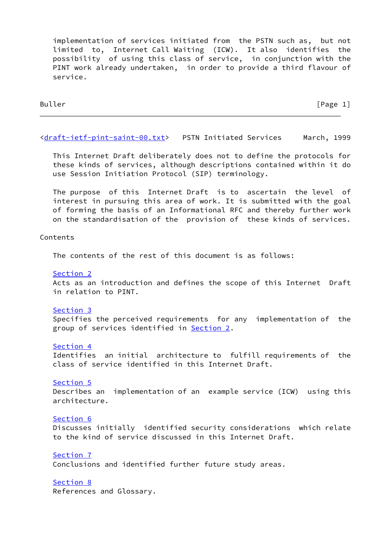implementation of services initiated from the PSTN such as, but not limited to, Internet Call Waiting (ICW). It also identifies the possibility of using this class of service, in conjunction with the PINT work already undertaken, in order to provide a third flavour of service.

Buller [Page 1]

# [<draft-ietf-pint-saint-00.txt](https://datatracker.ietf.org/doc/pdf/draft-ietf-pint-saint-00.txt)> PSTN Initiated Services March, 1999

 This Internet Draft deliberately does not to define the protocols for these kinds of services, although descriptions contained within it do use Session Initiation Protocol (SIP) terminology.

 The purpose of this Internet Draft is to ascertain the level of interest in pursuing this area of work. It is submitted with the goal of forming the basis of an Informational RFC and thereby further work on the standardisation of the provision of these kinds of services.

## Contents

The contents of the rest of this document is as follows:

[Section 2](#page-2-0)

 Acts as an introduction and defines the scope of this Internet Draft in relation to PINT.

## [Section 3](#page-6-0)

 Specifies the perceived requirements for any implementation of the group of services identified in [Section 2](#page-2-0).

### [Section 4](#page-6-1)

 Identifies an initial architecture to fulfill requirements of the class of service identified in this Internet Draft.

### [Section 5](#page-8-0)

 Describes an implementation of an example service (ICW) using this architecture.

# [Section 6](#page-13-0)

 Discusses initially identified security considerations which relate to the kind of service discussed in this Internet Draft.

# [Section 7](#page-14-0)

Conclusions and identified further future study areas.

[Section 8](#page-15-0)

References and Glossary.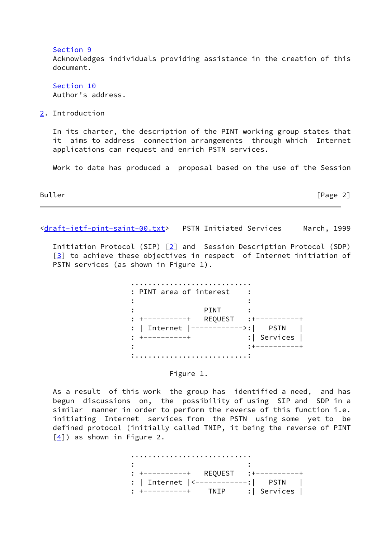[Section 9](#page-16-0)

 Acknowledges individuals providing assistance in the creation of this document.

 [Section 10](#page-16-1) Author's address.

<span id="page-2-0"></span>[2](#page-2-0). Introduction

 In its charter, the description of the PINT working group states that it aims to address connection arrangements through which Internet applications can request and enrich PSTN services.

Work to date has produced a proposal based on the use of the Session

Buller [Page 2]

[<draft-ietf-pint-saint-00.txt](https://datatracker.ietf.org/doc/pdf/draft-ietf-pint-saint-00.txt)> PSTN Initiated Services March, 1999

 Initiation Protocol (SIP) [[2\]](#page-15-1) and Session Description Protocol (SDP)  $\lceil 3 \rceil$  to achieve these objectives in respect of Internet initiation of PSTN services (as shown in Figure 1).

| : PINT area of interest                           |                                           |
|---------------------------------------------------|-------------------------------------------|
| PINT<br>REQUEST                                   |                                           |
| Internet<br>$ -------- - - - >$<br>$\ddot{\cdot}$ | <b>PSTN</b><br>Services<br>$: \mathsf{I}$ |
|                                                   |                                           |

### Figure 1.

 As a result of this work the group has identified a need, and has begun discussions on, the possibility of using SIP and SDP in a similar manner in order to perform the reverse of this function i.e. initiating Internet services from the PSTN using some yet to be defined protocol (initially called TNIP, it being the reverse of PINT  $[4]$  $[4]$ ) as shown in Figure 2.

 ............................ the contract of the contract of the contract of the contract of the contract of the contract of the contract o : +----------+ REQUEST :+----------+ : | Internet |<------------:| PSTN | : +----------+ TNIP :| Services |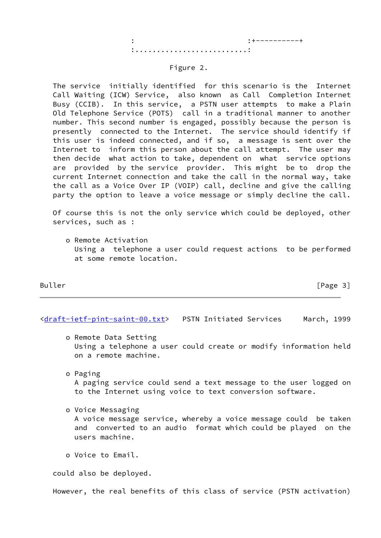## Figure 2.

 The service initially identified for this scenario is the Internet Call Waiting (ICW) Service, also known as Call Completion Internet Busy (CCIB). In this service, a PSTN user attempts to make a Plain Old Telephone Service (POTS) call in a traditional manner to another number. This second number is engaged, possibly because the person is presently connected to the Internet. The service should identify if this user is indeed connected, and if so, a message is sent over the Internet to inform this person about the call attempt. The user may then decide what action to take, dependent on what service options are provided by the service provider. This might be to drop the current Internet connection and take the call in the normal way, take the call as a Voice Over IP (VOIP) call, decline and give the calling party the option to leave a voice message or simply decline the call.

 Of course this is not the only service which could be deployed, other services, such as :

 o Remote Activation Using a telephone a user could request actions to be performed at some remote location.

Buller [Page 3]

[<draft-ietf-pint-saint-00.txt](https://datatracker.ietf.org/doc/pdf/draft-ietf-pint-saint-00.txt)> PSTN Initiated Services March, 1999

- o Remote Data Setting Using a telephone a user could create or modify information held on a remote machine.
- o Paging A paging service could send a text message to the user logged on to the Internet using voice to text conversion software.
- o Voice Messaging A voice message service, whereby a voice message could be taken and converted to an audio format which could be played on the users machine.
- o Voice to Email.

could also be deployed.

However, the real benefits of this class of service (PSTN activation)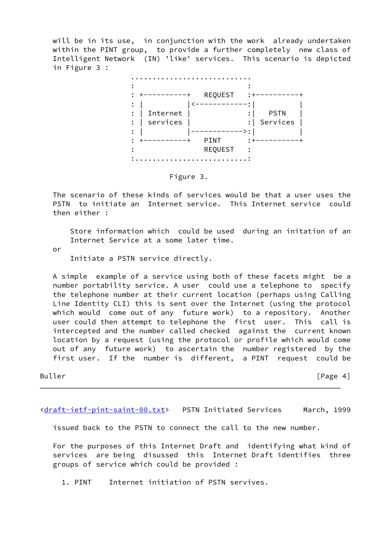will be in its use, in conjunction with the work already undertaken within the PINT group, to provide a further completely new class of Intelligent Network (IN) 'like' services. This scenario is depicted in Figure 3 :



Figure 3.

 The scenario of these kinds of services would be that a user uses the PSTN to initiate an Internet service. This Internet service could then either :

 Store information which could be used during an initation of an Internet Service at a some later time.

or

Initiate a PSTN service directly.

 A simple example of a service using both of these facets might be a number portability service. A user could use a telephone to specify the telephone number at their current location (perhaps using Calling Line Identity CLI) this is sent over the Internet (using the protocol which would come out of any future work) to a repository. Another user could then attempt to telephone the first user. This call is intercepted and the number called checked against the current known location by a request (using the protocol or profile which would come out of any future work) to ascertain the number registered by the first user. If the number is different, a PINT request could be

Buller [Page 4]

[<draft-ietf-pint-saint-00.txt](https://datatracker.ietf.org/doc/pdf/draft-ietf-pint-saint-00.txt)> PSTN Initiated Services March, 1999

issued back to the PSTN to connect the call to the new number.

 For the purposes of this Internet Draft and identifying what kind of services are being disussed this Internet Draft identifies three groups of service which could be provided :

1. PINT Internet initiation of PSTN servives.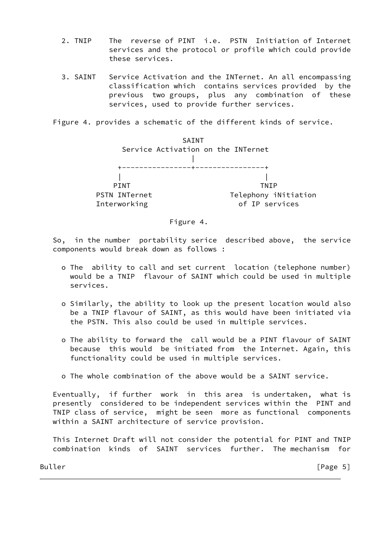- 2. TNIP The reverse of PINT i.e. PSTN Initiation of Internet services and the protocol or profile which could provide these services.
- 3. SAINT Service Activation and the INTernet. An all encompassing classification which contains services provided by the previous two groups, plus any combination of these services, used to provide further services.

Figure 4. provides a schematic of the different kinds of service.



## Figure 4.

 So, in the number portability serice described above, the service components would break down as follows :

- o The ability to call and set current location (telephone number) would be a TNIP flavour of SAINT which could be used in multiple services.
- o Similarly, the ability to look up the present location would also be a TNIP flavour of SAINT, as this would have been initiated via the PSTN. This also could be used in multiple services.
- o The ability to forward the call would be a PINT flavour of SAINT because this would be initiated from the Internet. Again, this functionality could be used in multiple services.
- o The whole combination of the above would be a SAINT service.

 Eventually, if further work in this area is undertaken, what is presently considered to be independent services within the PINT and TNIP class of service, might be seen more as functional components within a SAINT architecture of service provision.

 This Internet Draft will not consider the potential for PINT and TNIP combination kinds of SAINT services further. The mechanism for

Buller [Page 5]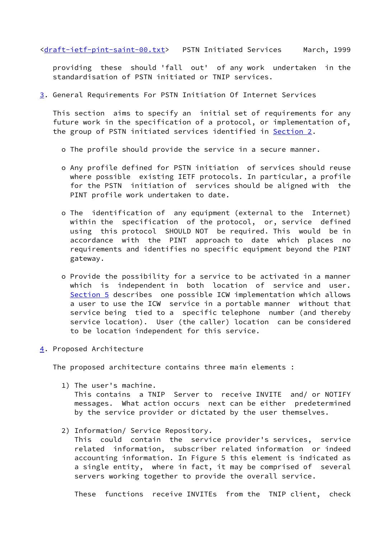[<draft-ietf-pint-saint-00.txt](https://datatracker.ietf.org/doc/pdf/draft-ietf-pint-saint-00.txt)> PSTN Initiated Services March, 1999

 providing these should 'fall out' of any work undertaken in the standardisation of PSTN initiated or TNIP services.

<span id="page-6-0"></span>[3](#page-6-0). General Requirements For PSTN Initiation Of Internet Services

 This section aims to specify an initial set of requirements for any future work in the specification of a protocol, or implementation of, the group of PSTN initiated services identified in [Section 2.](#page-2-0)

- o The profile should provide the service in a secure manner.
- o Any profile defined for PSTN initiation of services should reuse where possible existing IETF protocols. In particular, a profile for the PSTN initiation of services should be aligned with the PINT profile work undertaken to date.
- o The identification of any equipment (external to the Internet) within the specification of the protocol, or, service defined using this protocol SHOULD NOT be required. This would be in accordance with the PINT approach to date which places no requirements and identifies no specific equipment beyond the PINT gateway.
- o Provide the possibility for a service to be activated in a manner which is independent in both location of service and user. [Section 5](#page-8-0) describes one possible ICW implementation which allows a user to use the ICW service in a portable manner without that service being tied to a specific telephone number (and thereby service location). User (the caller) location can be considered to be location independent for this service.
- <span id="page-6-1"></span>[4](#page-6-1). Proposed Architecture

The proposed architecture contains three main elements :

1) The user's machine.

 This contains a TNIP Server to receive INVITE and/ or NOTIFY messages. What action occurs next can be either predetermined by the service provider or dictated by the user themselves.

2) Information/ Service Repository.

 This could contain the service provider's services, service related information, subscriber related information or indeed accounting information. In Figure 5 this element is indicated as a single entity, where in fact, it may be comprised of several servers working together to provide the overall service.

These functions receive INVITEs from the TNIP client, check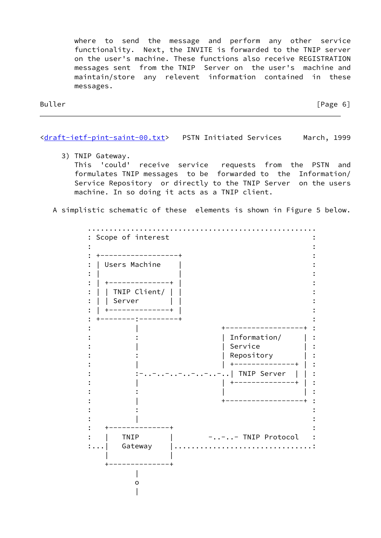where to send the message and perform any other service functionality. Next, the INVITE is forwarded to the TNIP server on the user's machine. These functions also receive REGISTRATION messages sent from the TNIP Server on the user's machine and maintain/store any relevent information contained in these messages.

Buller [Page 6]

[<draft-ietf-pint-saint-00.txt](https://datatracker.ietf.org/doc/pdf/draft-ietf-pint-saint-00.txt)> PSTN Initiated Services March, 1999

 3) TNIP Gateway. This 'could' receive service requests from the PSTN and formulates TNIP messages to be forwarded to the Information/ Service Repository or directly to the TNIP Server on the users machine. In so doing it acts as a TNIP client.

A simplistic schematic of these elements is shown in Figure 5 below.

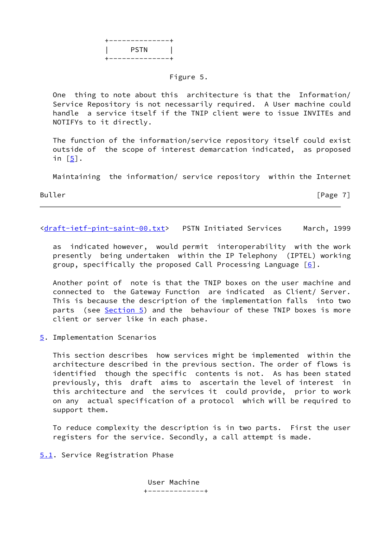![](_page_8_Figure_0.jpeg)

# Figure 5.

 One thing to note about this architecture is that the Information/ Service Repository is not necessarily required. A User machine could handle a service itself if the TNIP client were to issue INVITEs and NOTIFYs to it directly.

 The function of the information/service repository itself could exist outside of the scope of interest demarcation indicated, as proposed in  $[5]$  $[5]$ .

Maintaining the information/ service repository within the Internet

Buller [Page 7]

[<draft-ietf-pint-saint-00.txt](https://datatracker.ietf.org/doc/pdf/draft-ietf-pint-saint-00.txt)> PSTN Initiated Services March, 1999

 as indicated however, would permit interoperability with the work presently being undertaken within the IP Telephony (IPTEL) working group, specifically the proposed Call Processing Language  $[6]$  $[6]$ .

 Another point of note is that the TNIP boxes on the user machine and connected to the Gateway Function are indicated as Client/ Server. This is because the description of the implementation falls into two parts (see [Section 5\)](#page-8-0) and the behaviour of these TNIP boxes is more client or server like in each phase.

<span id="page-8-0"></span>[5](#page-8-0). Implementation Scenarios

 This section describes how services might be implemented within the architecture described in the previous section. The order of flows is identified though the specific contents is not. As has been stated previously, this draft aims to ascertain the level of interest in this architecture and the services it could provide, prior to work on any actual specification of a protocol which will be required to support them.

 To reduce complexity the description is in two parts. First the user registers for the service. Secondly, a call attempt is made.

<span id="page-8-1"></span>[5.1](#page-8-1). Service Registration Phase

 User Machine +-------------+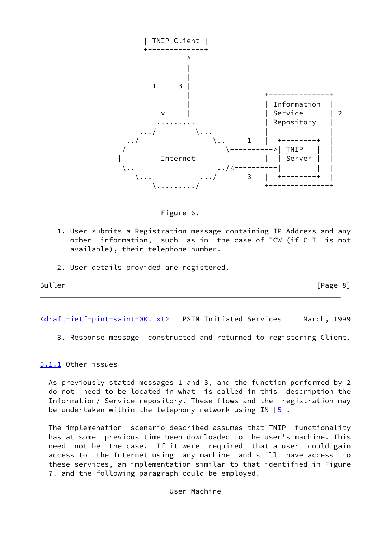![](_page_9_Figure_0.jpeg)

![](_page_9_Figure_1.jpeg)

- 1. User submits a Registration message containing IP Address and any other information, such as in the case of ICW (if CLI is not available), their telephone number.
- 2. User details provided are registered.

Buller [Page 8]

[<draft-ietf-pint-saint-00.txt](https://datatracker.ietf.org/doc/pdf/draft-ietf-pint-saint-00.txt)> PSTN Initiated Services March, 1999

3. Response message constructed and returned to registering Client.

<span id="page-9-0"></span>[5.1.1](#page-9-0) Other issues

 As previously stated messages 1 and 3, and the function performed by 2 do not need to be located in what is called in this description the Information/ Service repository. These flows and the registration may be undertaken within the telephony network using IN  $[5]$  $[5]$ .

 The implemenation scenario described assumes that TNIP functionality has at some previous time been downloaded to the user's machine. This need not be the case. If it were required that a user could gain access to the Internet using any machine and still have access to these services, an implementation similar to that identified in Figure 7. and the following paragraph could be employed.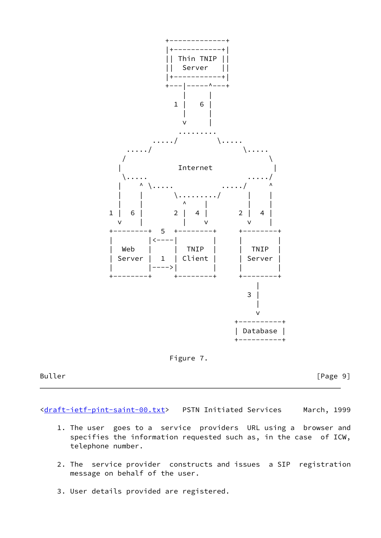![](_page_10_Figure_0.jpeg)

![](_page_10_Figure_1.jpeg)

Buller [Page 9]

[<draft-ietf-pint-saint-00.txt](https://datatracker.ietf.org/doc/pdf/draft-ietf-pint-saint-00.txt)> PSTN Initiated Services March, 1999

- 1. The user goes to a service providers URL using a browser and specifies the information requested such as, in the case of ICW, telephone number.
- 2. The service provider constructs and issues a SIP registration message on behalf of the user.
- 3. User details provided are registered.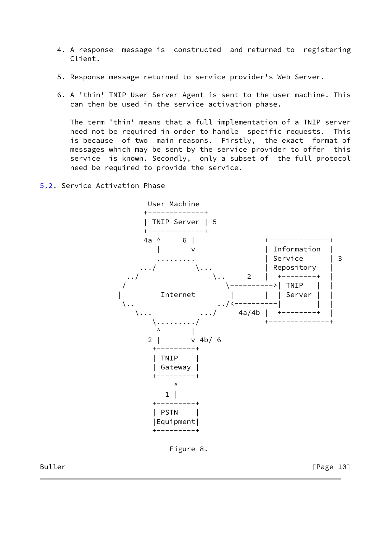- 4. A response message is constructed and returned to registering Client.
- 5. Response message returned to service provider's Web Server.
- 6. A 'thin' TNIP User Server Agent is sent to the user machine. This can then be used in the service activation phase.

 The term 'thin' means that a full implementation of a TNIP server need not be required in order to handle specific requests. This is because of two main reasons. Firstly, the exact format of messages which may be sent by the service provider to offer this service is known. Secondly, only a subset of the full protocol need be required to provide the service.

<span id="page-11-0"></span>[5.2](#page-11-0). Service Activation Phase

![](_page_11_Figure_5.jpeg)

![](_page_11_Figure_6.jpeg)

Buller [Page 10]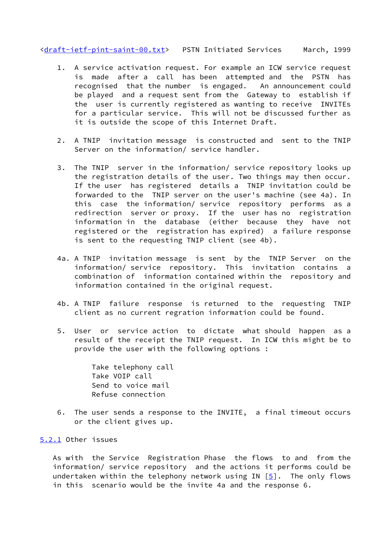[<draft-ietf-pint-saint-00.txt](https://datatracker.ietf.org/doc/pdf/draft-ietf-pint-saint-00.txt)> PSTN Initiated Services March, 1999

- 1. A service activation request. For example an ICW service request is made after a call has been attempted and the PSTN has recognised that the number is engaged. An announcement could be played and a request sent from the Gateway to establish if the user is currently registered as wanting to receive INVITEs for a particular service. This will not be discussed further as it is outside the scope of this Internet Draft.
- 2. A TNIP invitation message is constructed and sent to the TNIP Server on the information/ service handler.
- 3. The TNIP server in the information/ service repository looks up the registration details of the user. Two things may then occur. If the user has registered details a TNIP invitation could be forwarded to the TNIP server on the user's machine (see 4a). In this case the information/ service repository performs as a redirection server or proxy. If the user has no registration information in the database (either because they have not registered or the registration has expired) a failure response is sent to the requesting TNIP client (see 4b).
- 4a. A TNIP invitation message is sent by the TNIP Server on the information/ service repository. This invitation contains a combination of information contained within the repository and information contained in the original request.
- 4b. A TNIP failure response is returned to the requesting TNIP client as no current regration information could be found.
- 5. User or service action to dictate what should happen as a result of the receipt the TNIP request. In ICW this might be to provide the user with the following options :

 Take telephony call Take VOIP call Send to voice mail Refuse connection

 6. The user sends a response to the INVITE, a final timeout occurs or the client gives up.

# <span id="page-12-0"></span>[5.2.1](#page-12-0) Other issues

 As with the Service Registration Phase the flows to and from the information/ service repository and the actions it performs could be undertaken within the telephony network using IN  $[5]$ . The only flows in this scenario would be the invite 4a and the response 6.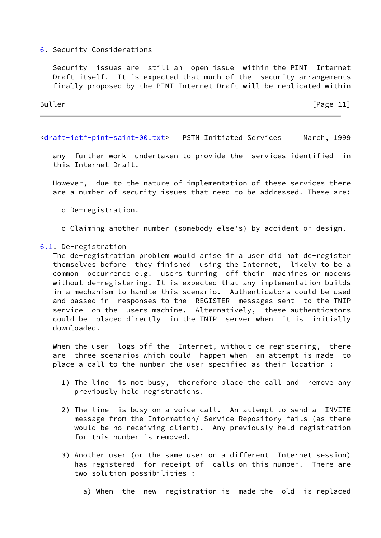## <span id="page-13-0"></span>[6](#page-13-0). Security Considerations

 Security issues are still an open issue within the PINT Internet Draft itself. It is expected that much of the security arrangements finally proposed by the PINT Internet Draft will be replicated within

Buller [Page 11]

[<draft-ietf-pint-saint-00.txt](https://datatracker.ietf.org/doc/pdf/draft-ietf-pint-saint-00.txt)> PSTN Initiated Services March, 1999

 any further work undertaken to provide the services identified in this Internet Draft.

 However, due to the nature of implementation of these services there are a number of security issues that need to be addressed. These are:

o De-registration.

o Claiming another number (somebody else's) by accident or design.

### <span id="page-13-1"></span>[6.1](#page-13-1). De-registration

 The de-registration problem would arise if a user did not de-register themselves before they finished using the Internet, likely to be a common occurrence e.g. users turning off their machines or modems without de-registering. It is expected that any implementation builds in a mechanism to handle this scenario. Authenticators could be used and passed in responses to the REGISTER messages sent to the TNIP service on the users machine. Alternatively, these authenticators could be placed directly in the TNIP server when it is initially downloaded.

When the user logs off the Internet, without de-registering, there are three scenarios which could happen when an attempt is made to place a call to the number the user specified as their location :

- 1) The line is not busy, therefore place the call and remove any previously held registrations.
- 2) The line is busy on a voice call. An attempt to send a INVITE message from the Information/ Service Repository fails (as there would be no receiving client). Any previously held registration for this number is removed.
- 3) Another user (or the same user on a different Internet session) has registered for receipt of calls on this number. There are two solution possibilities :
	- a) When the new registration is made the old is replaced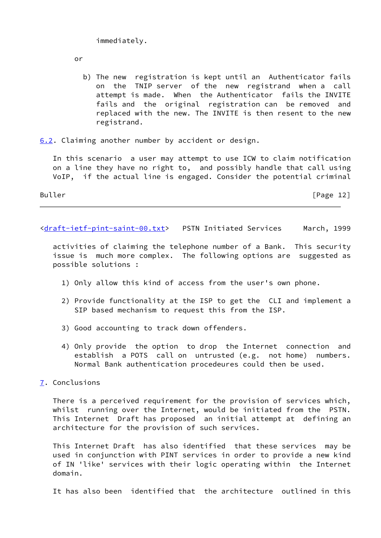immediately.

or

 b) The new registration is kept until an Authenticator fails on the TNIP server of the new registrand when a call attempt is made. When the Authenticator fails the INVITE fails and the original registration can be removed and replaced with the new. The INVITE is then resent to the new registrand.

<span id="page-14-1"></span>[6.2](#page-14-1). Claiming another number by accident or design.

 In this scenario a user may attempt to use ICW to claim notification on a line they have no right to, and possibly handle that call using VoIP, if the actual line is engaged. Consider the potential criminal

Buller Form The Contract of the Contract of the Contract of the Contract of the Contract of the Contract of the Contract of the Contract of the Contract of the Contract of the Contract of the Contract of the Contract of th

[<draft-ietf-pint-saint-00.txt](https://datatracker.ietf.org/doc/pdf/draft-ietf-pint-saint-00.txt)> PSTN Initiated Services March, 1999

 activities of claiming the telephone number of a Bank. This security issue is much more complex. The following options are suggested as possible solutions :

- 1) Only allow this kind of access from the user's own phone.
- 2) Provide functionality at the ISP to get the CLI and implement a SIP based mechanism to request this from the ISP.
- 3) Good accounting to track down offenders.
- 4) Only provide the option to drop the Internet connection and establish a POTS call on untrusted (e.g. not home) numbers. Normal Bank authentication procedeures could then be used.
- <span id="page-14-0"></span>[7](#page-14-0). Conclusions

 There is a perceived requirement for the provision of services which, whilst running over the Internet, would be initiated from the PSTN. This Internet Draft has proposed an initial attempt at defining an architecture for the provision of such services.

 This Internet Draft has also identified that these services may be used in conjunction with PINT services in order to provide a new kind of IN 'like' services with their logic operating within the Internet domain.

It has also been identified that the architecture outlined in this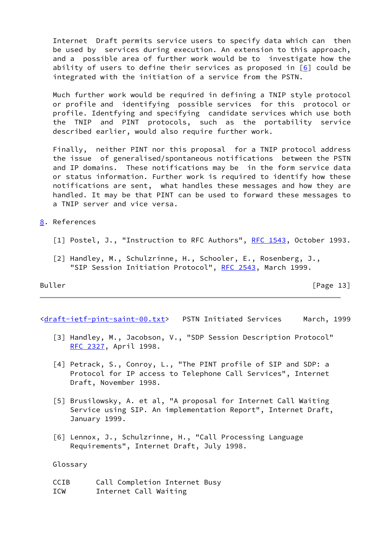Internet Draft permits service users to specify data which can then be used by services during execution. An extension to this approach, and a possible area of further work would be to investigate how the ability of users to define their services as proposed in  $[6]$  could be integrated with the initiation of a service from the PSTN.

 Much further work would be required in defining a TNIP style protocol or profile and identifying possible services for this protocol or profile. Identfying and specifying candidate services which use both the TNIP and PINT protocols, such as the portability service described earlier, would also require further work.

 Finally, neither PINT nor this proposal for a TNIP protocol address the issue of generalised/spontaneous notifications between the PSTN and IP domains. These notifications may be in the form service data or status information. Further work is required to identify how these notifications are sent, what handles these messages and how they are handled. It may be that PINT can be used to forward these messages to a TNIP server and vice versa.

- <span id="page-15-0"></span>[8](#page-15-0). References
	- [1] Postel, J., "Instruction to RFC Authors", [RFC 1543](https://datatracker.ietf.org/doc/pdf/rfc1543), October 1993.
	- [2] Handley, M., Schulzrinne, H., Schooler, E., Rosenberg, J., "SIP Session Initiation Protocol", [RFC 2543,](https://datatracker.ietf.org/doc/pdf/rfc2543) March 1999.

<span id="page-15-1"></span>Buller [Page 13]

[<draft-ietf-pint-saint-00.txt](https://datatracker.ietf.org/doc/pdf/draft-ietf-pint-saint-00.txt)> PSTN Initiated Services March, 1999

- <span id="page-15-2"></span> [3] Handley, M., Jacobson, V., "SDP Session Description Protocol" [RFC 2327,](https://datatracker.ietf.org/doc/pdf/rfc2327) April 1998.
- <span id="page-15-3"></span> [4] Petrack, S., Conroy, L., "The PINT profile of SIP and SDP: a Protocol for IP access to Telephone Call Services", Internet Draft, November 1998.
- <span id="page-15-4"></span> [5] Brusilowsky, A. et al, "A proposal for Internet Call Waiting Service using SIP. An implementation Report", Internet Draft, January 1999.
- <span id="page-15-5"></span> [6] Lennox, J., Schulzrinne, H., "Call Processing Language Requirements", Internet Draft, July 1998.

Glossary

 CCIB Call Completion Internet Busy ICW Internet Call Waiting